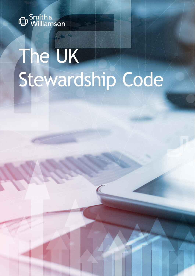

# The UK Stewardship Code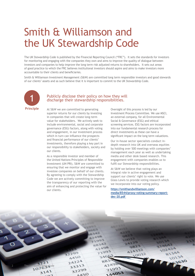## Smith & Williamson and the UK Stewardship Code

The UK Stewardship Code is published by the Financial Reporting Council ("FRC"). It sets the standards for investors for monitoring and engaging with the companies they own and aims to improve the quality of dialogue between investors and companies to help improve the long term risk adjusted returns to shareholders. It sets out areas of good practice to which the FRC believes institutional investors should aspire and aims to make investors more accountable to their clients and beneficiaries.

Smith & Williamson Investment Management (S&W) are committed long term responsible investors and good stewards of our clients' assets and as such believe that it is important to commit to the UK Stewardship Code.



#### Publicly disclose their policy on how they will discharge their stewardship responsibilities.

At S&W we are committed to generating superior returns for our clients by investing in companies that will create long-term value for stakeholders. We actively seek to include environmental, social and corporate governance (ESG) factors, along with voting and engagement, in our investment process which in turn can influence the prospects and financial performance of our clients' investments, therefore playing a key part in our responsibility to stakeholders, society and our clients.

As a responsible investor and member of the United Nations Principles of Responsible Investment (UN PRI), S&W are committed to ensuring that we monitor and engage with investee companies on behalf of our clients. By agreeing to comply with the Stewardship Code we are actively committing to improve the transparency of our reporting with the aim of enhancing and protecting the value for our clients.

Oversight of this process is led by our Investment Process Committee. We use MSCI, an external company, for all Environmental Social & Governance (ESG) and ethical screening services. ESG factors are incorporated into our fundamental research process for direct investments as these can have a significant impact on the long term valuations.

Our in-house sector specialists conduct indepth research into UK and overseas equities by holding over 500 meetings with companies' management each year as well as undertaking media and other desk based research. This engagement with companies enables us to fulfil our Stewardship responsibilities.

At S&W we believe that voting plays an integral role in active engagement and support our clients' right to vote. We use Glass Lewis to provide voting research which we incorporate into our voting policy.

**[https://smithandwilliamson.com/](https://smithandwilliamson.com/media/8544/proxy-voting-summary-report-dec-20.pdf) [media/8544/proxy-voting-summary-report](https://smithandwilliamson.com/media/8544/proxy-voting-summary-report-dec-20.pdf)[dec-20.pdf](https://smithandwilliamson.com/media/8544/proxy-voting-summary-report-dec-20.pdf)** 

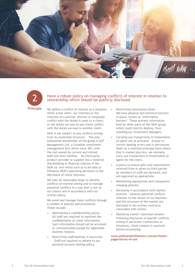



#### Have a robust policy on managing conflicts of interest in relation to stewardship which should be publicly disclosed.

We define a conflict of interest as a situation which arises when: our interests or the interests of a partner, director or employee conflict with the duties it owes to a client; or the duties we owe to one client conflict with the duties we owe to another client.

S&W is not subject to any conflicts arising from its ownership structure. The only substantial shareholder of the group is AGF Management Ltd, a Canadian investment management firm which owns 30%, with the rest owned by current and retired staff and their families. No third party product provider or supplier has a material shareholding or financial interest in the S&W (or vice versa) such as to be able to influence S&W's operating decisions to the detriment of client interests.

We take all reasonable steps to identify conflicts of interest arising and to manage potential conflicts in a way that is fair to our clients and in accordance with our written policy.

We avoid and manage these conflicts through a number of policies and procedures. These include:

- *• Maintaining a confidentiality policy* All staff are required to maintain the confidentiality of client information. Such information should not be accessed or communicated except for legitimate business reasons.
- *• Restricting staff dealings in securities* - Staff are required to adhere to our personal account dealing policy.
- *• Restricting information flows* We have physical and technical barriers in place, known as 'information barriers'. These prevent information held by other parts of the S&W group, which could restrict dealing, from reaching our Investment Managers.
- *• Carrying out transactions in Investments as agent not as principal* - Except to correct dealing errors and in derivatives dealt on a matched principal basis where that is market practice, we normally carry out transactions in Investments as agent for the client.
- A policy to ensure gifts and inducements received from or given to third parties by members of staff are declared, and pre-approved as appropriate.
- Maintaining appropriate and transparent charging policies.
- *• Disclosing in accordance with market practice -* General potential conflicts inherent to the nature of our business and the structure of the market are disclosed in the written contracts concluded with clients.
- *• Obtaining clients' informed consen*t Following disclosure of specific conflicts arising in particular transactions or situations, client consent is received before proceeding.

**www[.smithandwilliamson.com/en/footer](http://smithandwilliamson.com/en/footer-pages/terms-of-use)[pages/terms-of-use](http://smithandwilliamson.com/en/footer-pages/terms-of-use)**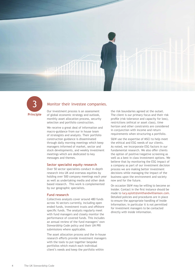



#### Monitor their investee companies.

Our investment process is an assessment of global economic strategy and outlook, monthly asset allocation process, security selection and portfolio construction.

We receive a great deal of information and macro-guidance from our in house team of strategists and analysts. Their portfolio construction guidance is disseminated through daily morning meetings which keep managers informed of market, sector and stock developments, and weekly investment meetings which are dedicated to key messages and themes.

#### **Sector specialist equity research**

Over 50 sector specialists conduct in-depth research into UK and overseas equities by holding over 500 company meetings each year as well as undertaking media and other desk based research. This work is complemented by our geographic specialists.

#### **Fund research**

Collectives analysts cover around 480 funds across 16 sectors currently, including open ended funds, investment trusts and offshore specific funds. The analysts regularly meet with fund managers and closely monitor the performance of covered funds. This includes an annual review of the fund managers' own Stewardship Code policy and their UN PRI submissions where applicable.

The asset allocation process and the in-house research efforts provide investment managers with the tools to put together bespoke portfolios which match each individual client's needs and keep the portfolio within

the risk boundaries agreed at the outset. The client is our primary focus and their risk profile (risk tolerance and capacity for loss), restrictions (ethical or asset class), time horizon and other constraints are considered in conjunction with income and return requirements when structuring a portfolio.

S&W use the expertise of MSCI to help meet the ethical and ESG needs of our clients. As noted, we incorporate ESG factors in our fundamental research. We also offer clients the option of positive/negative screening as well as a best in class investment options. We believe that by monitoring the ESG impact of a company as part of our investment decision process we are making better investment decisions while managing the impact of the business upon the environment and society now and for the future.

On occasion S&W may be willing to become an Insider. Contact in the first instance should be made to [lucy.aylott@smithandwilliamson.com.](mailto:lucy.aylott@smithandwilliamson.com) Detailed policies and procedures are in place to ensure the appropriate handling of Inside Information; in particular it is not permitted for investment managers to be contacted directly with inside information.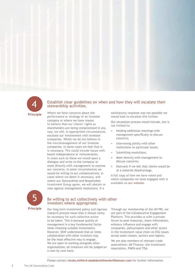

#### Establish clear guidelines on when and how they will escalate their stewardship activities.

Where we have concerns about the performance or strategy of an investee company or where we have reason to believe that our clients' rights as shareholders are being compromised in any way, we will, in appropriate circumstances, escalate our involvement with investee companies. Whilst we do not believe in the micromanagement of our investee companies, in some cases we feel that it is necessary. This could include issues with board independence or remuneration. In cases such as these we would open a dialogue and write to the company or meet directly with management to express our concerns. In some circumstances we would be willing to act collaboratively. In cases where we deem it necessary, and where our Stewardship and Responsible Investment Group agree, we will abstain or vote against management resolutions. If a



#### Be willing to act collectively with other investors where appropriate.

Our long term investment policy and rigorous research process mean that it should rarely be necessary for such collective action to be taken. This is because quality of management is a key fundamental factor when choosing suitable investments. However, S&W understands that at times collaboration with other investors may be the most effective way to engage. We are open to working alongside other organisations; all instances will be judged on a case by case basis.

satisfactory response was not possible we would look to escalate this further.

Our escalation process would include, but is not limited to:

- Holding additional meetings with management specifically to discuss concerns;
- Intervening jointly with other institutions on particular issues;
- Submitting resolutions;
- Meet directly with management to discuss concerns;
- Disinvest if we felt that clients would be at a material disadvantage.

A full copy of how we have voted and which companies we have engaged with is available on [our website.](http://www.smithandwilliamson.com)

Through our membership of the UN PRI, we are part of the Collaborative Engagement Platform. This provides us with a private forum to pool resources, share information, enhance influence and engage with companies, policymakers and other actors in the investment value chain on ESG issues across asset classes, sectors and regions.

We are also members of relevant trade associations: UK Finance, the Investment Association, PIMFA and TISA.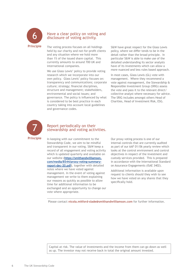

#### Have a clear policy on voting and disclosure of voting activity.

The voting process focuses on all holdings held by our charity and not-for-profit clients and any situation where we hold more than 1% of the issued share capital. This currently amounts to around 700 UK and international companies.

We use Glass Lewis' policy to provide voting research which we incorporate into our own policy. Glass Lewis' policy focuses on: transparency and communications; corporate culture; strategy; financial disciplines, structure and management; stakeholders, environmental and social issues; and governance. The policy is influenced by what is considered to be best practice in each country taking into account local guidelines and governance codes.

S&W have great respect for the Glass Lewis policy, where we differ tends to be in the detail rather than the broad principle. In particular S&W is able to make use of the detailed understanding its sector analysts have of its investments which can allow a more nuanced and less rules based approach.

In most cases, Glass Lewis (GL) vote with management. Where they recommend a vote against management, the Stewardship & Responsible Investment Group (SRIG) assess the vote and pass it to the relevant direct/ collective analyst where necessary for advice. The SRIG includes amongst others Head of Charities, Head of Investment Risk, ESG.



#### Report periodically on their stewardship and voting activities.

In keeping with our commitment to the Stewardship Code, we aim to be mindful and transparent in our voting. S&W keep a record of all engagement and voting activity which is updated quarterly and available on our website **([https://smithandwilliamson.](https://smithandwilliamson.com/media/8544/proxy-voting-summary-report-dec-20.pdf) [com/media/8544/proxy-voting-summary](https://smithandwilliamson.com/media/8544/proxy-voting-summary-report-dec-20.pdf)[report-dec-20.pdf\)](https://smithandwilliamson.com/media/8544/proxy-voting-summary-report-dec-20.pdf)**, together with detailed notes where we have voted against management. In the event of voting against management we write to them explaining our reasons as quickly as possible to allow time for additional information to be exchanged and an opportunity to change our vote where appropriate.

Our proxy voting process is one of our internal controls that are currently audited as part of our AAF 01/06 yearly review which looks at the control environment and control objectives in respect of the investment and custody services provided. This is prepared in accordance with the International Standard on Assurance Engagements (ISAE 3402).

Additional information is available upon request to clients should they wish to see how we have voted on any shares that they specifically hold.

Please contact **[nicola.mitford-slade@smithandwilliamson.com](mailto: Nicola.Mitford-Slade@smithandwilliamson.com)** for further information.

Capital at risk. The value of investments and the income from them can go down as well as up. The investor may not receive back in total the original amount invested.